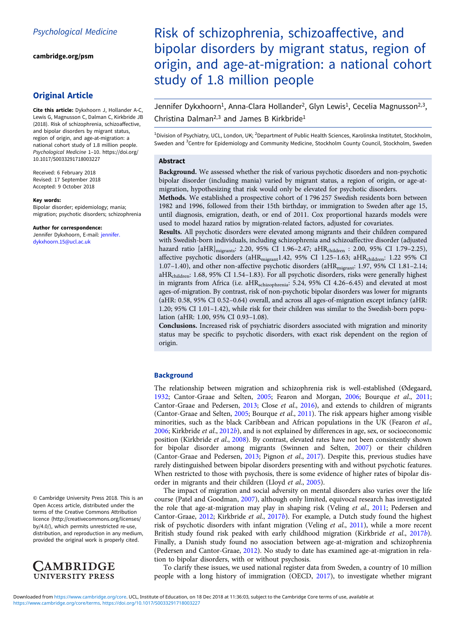[cambridge.org/psm](https://www.cambridge.org/psm)

## Original Article

Cite this article: Dykxhoorn J, Hollander A-C, Lewis G, Magnusson C, Dalman C, Kirkbride JB (2018). Risk of schizophrenia, schizoaffective, and bipolar disorders by migrant status, region of origin, and age-at-migration: a national cohort study of 1.8 million people. Psychological Medicine 1–10. [https://doi.org/](https://doi.org/10.1017/S0033291718003227) [10.1017/S0033291718003227](https://doi.org/10.1017/S0033291718003227)

Received: 6 February 2018 Revised: 17 September 2018 Accepted: 9 October 2018

#### Key words:

Bipolar disorder; epidemiology; mania; migration; psychotic disorders; schizophrenia

Author for correspondence:

Jennifer Dykxhoorn, E-mail: [jennifer.](mailto:jennifer.dykxhoorn.15@ucl.ac.uk) [dykxhoorn.15@ucl.ac.uk](mailto:jennifer.dykxhoorn.15@ucl.ac.uk)

© Cambridge University Press 2018. This is an Open Access article, distributed under the terms of the Creative Commons Attribution licence (http://creativecommons.org/licenses/ by/4.0/), which permits unrestricted re-use, distribution, and reproduction in any medium, provided the original work is properly cited.



# Risk of schizophrenia, schizoaffective, and bipolar disorders by migrant status, region of origin, and age-at-migration: a national cohort study of 1.8 million people

Jennifer Dykxhoorn<sup>1</sup>, Anna-Clara Hollander<sup>2</sup>, Glyn Lewis<sup>1</sup>, Cecelia Magnusson<sup>2,3</sup>, Christina Dalman<sup>2,3</sup> and James B Kirkbride<sup>1</sup>

<sup>1</sup>Division of Psychiatry, UCL, London, UK; <sup>2</sup>Department of Public Health Sciences, Karolinska Institutet, Stockholm, Sweden and <sup>3</sup>Centre for Epidemiology and Community Medicine, Stockholm County Council, Stockholm, Sweden

## Abstract

Background. We assessed whether the risk of various psychotic disorders and non-psychotic bipolar disorder (including mania) varied by migrant status, a region of origin, or age-atmigration, hypothesizing that risk would only be elevated for psychotic disorders.

Methods. We established a prospective cohort of 1 796 257 Swedish residents born between 1982 and 1996, followed from their 15th birthday, or immigration to Sweden after age 15, until diagnosis, emigration, death, or end of 2011. Cox proportional hazards models were used to model hazard ratios by migration-related factors, adjusted for covariates.

Results. All psychotic disorders were elevated among migrants and their children compared with Swedish-born individuals, including schizophrenia and schizoaffective disorder (adjusted hazard ratio [aHR]<sub>migrants</sub>: 2.20, 95% CI 1.96-2.47; aHR<sub>children</sub> : 2.00, 95% CI 1.79-2.25), affective psychotic disorders (aHR<sub>migrant</sub>1.42, 95% CI 1.25-1.63; aHR<sub>children</sub>: 1.22 95% CI 1.07-1.40), and other non-affective psychotic disorders (aHR<sub>migrant</sub>: 1.97, 95% CI 1.81-2.14; aHRchildren: 1.68, 95% CI 1.54–1.83). For all psychotic disorders, risks were generally highest in migrants from Africa (i.e. aHR<sub>schizophrenia</sub>: 5.24, 95% CI 4.26-6.45) and elevated at most ages-of-migration. By contrast, risk of non-psychotic bipolar disorders was lower for migrants (aHR: 0.58, 95% CI 0.52–0.64) overall, and across all ages-of-migration except infancy (aHR: 1.20; 95% CI 1.01–1.42), while risk for their children was similar to the Swedish-born population (aHR: 1.00, 95% CI 0.93–1.08).

Conclusions. Increased risk of psychiatric disorders associated with migration and minority status may be specific to psychotic disorders, with exact risk dependent on the region of origin.

## **Background**

The relationship between migration and schizophrenia risk is well-established (Ødegaard, [1932;](#page-9-0) Cantor-Graae and Selten, [2005;](#page-8-0) Fearon and Morgan, [2006](#page-8-0); Bourque et al., [2011](#page-8-0); Cantor-Graae and Pedersen, [2013;](#page-8-0) Close et al., [2016\)](#page-8-0), and extends to children of migrants (Cantor-Graae and Selten, [2005;](#page-8-0) Bourque et al., [2011](#page-8-0)). The risk appears higher among visible minorities, such as the black Caribbean and African populations in the UK (Fearon et al., [2006;](#page-8-0) Kirkbride et al., [2012](#page-8-0)b), and is not explained by differences in age, sex, or socioeconomic position (Kirkbride et al., [2008\)](#page-8-0). By contrast, elevated rates have not been consistently shown for bipolar disorder among migrants (Swinnen and Selten, [2007\)](#page-9-0) or their children (Cantor-Graae and Pedersen, [2013](#page-8-0); Pignon et al., [2017\)](#page-9-0). Despite this, previous studies have rarely distinguished between bipolar disorders presenting with and without psychotic features. When restricted to those with psychosis, there is some evidence of higher rates of bipolar disorder in migrants and their children (Lloyd et al., [2005\)](#page-9-0).

The impact of migration and social adversity on mental disorders also varies over the life course (Patel and Goodman, [2007](#page-9-0)), although only limited, equivocal research has investigated the role that age-at-migration may play in shaping risk (Veling et al., [2011](#page-9-0); Pedersen and Cantor-Graae, [2012](#page-9-0); Kirkbride et al., [2017](#page-8-0)b). For example, a Dutch study found the highest risk of psychotic disorders with infant migration (Veling et al., [2011](#page-9-0)), while a more recent British study found risk peaked with early childhood migration (Kirkbride et al., [2017](#page-8-0)b). Finally, a Danish study found no association between age-at-migration and schizophrenia (Pedersen and Cantor-Graae, [2012](#page-9-0)). No study to date has examined age-at-migration in relation to bipolar disorders, with or without psychosis.

To clarify these issues, we used national register data from Sweden, a country of 10 million people with a long history of immigration (OECD, [2017](#page-9-0)), to investigate whether migrant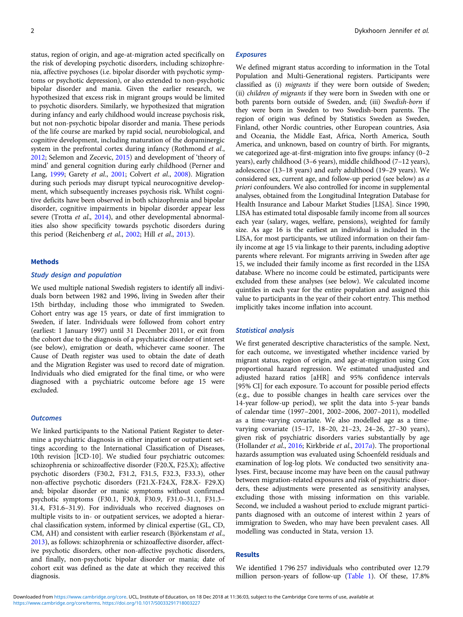status, region of origin, and age-at-migration acted specifically on the risk of developing psychotic disorders, including schizophrenia, affective psychoses (i.e. bipolar disorder with psychotic symptoms or psychotic depression), or also extended to non-psychotic bipolar disorder and mania. Given the earlier research, we hypothesized that excess risk in migrant groups would be limited to psychotic disorders. Similarly, we hypothesized that migration during infancy and early childhood would increase psychosis risk, but not non-psychotic bipolar disorder and mania. These periods of the life course are marked by rapid social, neurobiological, and cognitive development, including maturation of the dopaminergic system in the prefrontal cortex during infancy (Rothmond et al., [2012;](#page-9-0) Selemon and Zecevic, [2015\)](#page-9-0) and development of 'theory of mind' and general cognition during early childhood (Perner and Lang, [1999;](#page-9-0) Garety et al., [2001](#page-8-0); Colvert et al., [2008](#page-8-0)). Migration during such periods may disrupt typical neurocognitive development, which subsequently increases psychosis risk. Whilst cognitive deficits have been observed in both schizophrenia and bipolar disorder, cognitive impairments in bipolar disorder appear less severe (Trotta et al., [2014\)](#page-9-0), and other developmental abnormalities also show specificity towards psychotic disorders during this period (Reichenberg et al., [2002](#page-9-0); Hill et al., [2013](#page-8-0)).

#### Methods

## Study design and population

We used multiple national Swedish registers to identify all individuals born between 1982 and 1996, living in Sweden after their 15th birthday, including those who immigrated to Sweden. Cohort entry was age 15 years, or date of first immigration to Sweden, if later. Individuals were followed from cohort entry (earliest: 1 January 1997) until 31 December 2011, or exit from the cohort due to the diagnosis of a psychiatric disorder of interest (see below), emigration or death, whichever came sooner. The Cause of Death register was used to obtain the date of death and the Migration Register was used to record date of migration. Individuals who died emigrated for the final time, or who were diagnosed with a psychiatric outcome before age 15 were excluded.

## **Outcomes**

We linked participants to the National Patient Register to determine a psychiatric diagnosis in either inpatient or outpatient settings according to the International Classification of Diseases, 10th revision [ICD-10]. We studied four psychiatric outcomes: schizophrenia or schizoaffective disorder (F20.X, F25.X); affective psychotic disorders (F30.2, F31.2, F31.5, F32.3, F33.3), other non-affective psychotic disorders (F21.X-F24.X, F28.X- F29.X) and; bipolar disorder or manic symptoms without confirmed psychotic symptoms (F30.1, F30.8, F30.9, F31.0–31.1, F31.3– 31.4, F31.6–31.9). For individuals who received diagnoses on multiple visits to in- or outpatient services, we adopted a hierarchal classification system, informed by clinical expertise (GL, CD, CM, AH) and consistent with earlier research (Björkenstam et al., [2013\)](#page-8-0), as follows: schizophrenia or schizoaffective disorder, affective psychotic disorders, other non-affective psychotic disorders, and finally, non-psychotic bipolar disorder or mania; date of cohort exit was defined as the date at which they received this diagnosis.

#### Exposures

We defined migrant status according to information in the Total Population and Multi-Generational registers. Participants were classified as (i) migrants if they were born outside of Sweden; (ii) children of migrants if they were born in Sweden with one or both parents born outside of Sweden, and; (iii) Swedish-born if they were born in Sweden to two Swedish-born parents. The region of origin was defined by Statistics Sweden as Sweden, Finland, other Nordic countries, other European countries, Asia and Oceania, the Middle East, Africa, North America, South America, and unknown, based on country of birth. For migrants, we categorized age-at-first-migration into five groups: infancy (0–2 years), early childhood (3–6 years), middle childhood (7–12 years), adolescence (13–18 years) and early adulthood (19–29 years). We considered sex, current age, and follow-up period (see below) as a priori confounders. We also controlled for income in supplemental analyses, obtained from the Longitudinal Integration Database for Health Insurance and Labour Market Studies [LISA]. Since 1990, LISA has estimated total disposable family income from all sources each year (salary, wages, welfare, pensions), weighted for family size. As age 16 is the earliest an individual is included in the LISA, for most participants, we utilized information on their family income at age 15 via linkage to their parents, including adoptive parents where relevant. For migrants arriving in Sweden after age 15, we included their family income as first recorded in the LISA database. Where no income could be estimated, participants were excluded from these analyses (see below). We calculated income quintiles in each year for the entire population and assigned this value to participants in the year of their cohort entry. This method implicitly takes income inflation into account.

#### Statistical analysis

We first generated descriptive characteristics of the sample. Next, for each outcome, we investigated whether incidence varied by migrant status, region of origin, and age-at-migration using Cox proportional hazard regression. We estimated unadjusted and adjusted hazard ratios [aHR] and 95% confidence intervals [95% CI] for each exposure. To account for possible period effects (e.g., due to possible changes in health care services over the 14-year follow-up period), we split the data into 5-year bands of calendar time (1997–2001, 2002–2006, 2007–2011), modelled as a time-varying covariate. We also modelled age as a timevarying covariate (15–17, 18–20, 21–23, 24–26, 27–30 years), given risk of psychiatric disorders varies substantially by age (Hollander et al., [2016;](#page-8-0) Kirkbride et al., [2017](#page-8-0)a). The proportional hazards assumption was evaluated using Schoenfeld residuals and examination of log-log plots. We conducted two sensitivity analyses. First, because income may have been on the causal pathway between migration-related exposures and risk of psychiatric disorders, these adjustments were presented as sensitivity analyses, excluding those with missing information on this variable. Second, we included a washout period to exclude migrant participants diagnosed with an outcome of interest within 2 years of immigration to Sweden, who may have been prevalent cases. All modelling was conducted in Stata, version 13.

## Results

We identified 1 796 257 individuals who contributed over 12.79 million person-years of follow-up [\(Table 1\)](#page-2-0). Of these, 17.8%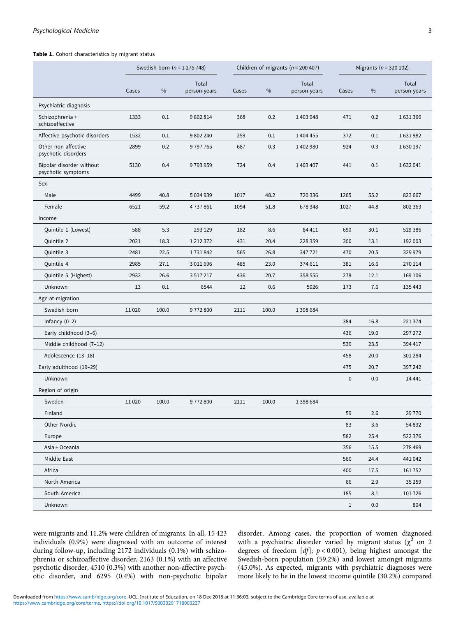#### <span id="page-2-0"></span>Table 1. Cohort characteristics by migrant status

|                                                | Swedish-born $(n = 1275748)$ |       |                       | Children of migrants ( $n = 200407$ ) |       |                       | Migrants ( $n = 320 102$ ) |      |                       |
|------------------------------------------------|------------------------------|-------|-----------------------|---------------------------------------|-------|-----------------------|----------------------------|------|-----------------------|
|                                                | Cases                        | $\%$  | Total<br>person-years | Cases                                 | $\%$  | Total<br>person-years | Cases                      | $\%$ | Total<br>person-years |
| Psychiatric diagnosis                          |                              |       |                       |                                       |       |                       |                            |      |                       |
| Schizophrenia +<br>schizoaffective             | 1333                         | 0.1   | 9802814               | 368                                   | 0.2   | 1403948               | 471                        | 0.2  | 1631366               |
| Affective psychotic disorders                  | 1532                         | 0.1   | 9802240               | 259                                   | 0.1   | 1 404 455             | 372                        | 0.1  | 1631982               |
| Other non-affective<br>psychotic disorders     | 2899                         | 0.2   | 9797765               | 687                                   | 0.3   | 1402980               | 924                        | 0.3  | 1630197               |
| Bipolar disorder without<br>psychotic symptoms | 5130                         | 0.4   | 9793959               | 724                                   | 0.4   | 1 403 407             | 441                        | 0.1  | 1632041               |
| Sex                                            |                              |       |                       |                                       |       |                       |                            |      |                       |
| Male                                           | 4499                         | 40.8  | 5 0 3 4 9 3 9         | 1017                                  | 48.2  | 720 336               | 1265                       | 55.2 | 823 667               |
| Female                                         | 6521                         | 59.2  | 4737861               | 1094                                  | 51.8  | 678 348               | 1027                       | 44.8 | 802 363               |
| Income                                         |                              |       |                       |                                       |       |                       |                            |      |                       |
| Quintile 1 (Lowest)                            | 588                          | 5.3   | 293 129               | 182                                   | 8.6   | 84 411                | 690                        | 30.1 | 529 386               |
| Quintile 2                                     | 2021                         | 18.3  | 1 2 1 2 3 7 2         | 431                                   | 20.4  | 228 359               | 300                        | 13.1 | 192 003               |
| Quintile 3                                     | 2481                         | 22.5  | 1731842               | 565                                   | 26.8  | 347 721               | 470                        | 20.5 | 329 979               |
| Quintile 4                                     | 2985                         | 27.1  | 3011696               | 485                                   | 23.0  | 374 611               | 381                        | 16.6 | 270 114               |
| Quintile 5 (Highest)                           | 2932                         | 26.6  | 3517217               | 436                                   | 20.7  | 358 555               | 278                        | 12.1 | 169 106               |
| Unknown                                        | 13                           | 0.1   | 6544                  | 12                                    | 0.6   | 5026                  | 173                        | 7.6  | 135 443               |
| Age-at-migration                               |                              |       |                       |                                       |       |                       |                            |      |                       |
| Swedish born                                   | 11020                        | 100.0 | 9772800               | 2111                                  | 100.0 | 1 3 9 8 6 8 4         |                            |      |                       |
| Infancy $(0-2)$                                |                              |       |                       |                                       |       |                       | 384                        | 16.8 | 221 374               |
| Early childhood (3-6)                          |                              |       |                       |                                       |       |                       | 436                        | 19.0 | 297 272               |
| Middle childhood (7-12)                        |                              |       |                       |                                       |       |                       | 539                        | 23.5 | 394 417               |
| Adolescence (13-18)                            |                              |       |                       |                                       |       |                       | 458                        | 20.0 | 301 284               |
| Early adulthood (19-29)                        |                              |       |                       |                                       |       |                       | 475                        | 20.7 | 397 242               |
| Unknown                                        |                              |       |                       |                                       |       |                       | $\pmb{0}$                  | 0.0  | 14 4 4 1              |
| Region of origin                               |                              |       |                       |                                       |       |                       |                            |      |                       |
| Sweden                                         | 11020                        | 100.0 | 9772800               | 2111                                  | 100.0 | 1 3 9 8 6 8 4         |                            |      |                       |
| Finland                                        |                              |       |                       |                                       |       |                       | 59                         | 2.6  | 29770                 |
| Other Nordic                                   |                              |       |                       |                                       |       |                       | 83                         | 3.6  | 54 832                |
| Europe                                         |                              |       |                       |                                       |       |                       | 582                        | 25.4 | 522 376               |
| Asia + Oceania                                 |                              |       |                       |                                       |       |                       | 356                        | 15.5 | 278 469               |
| Middle East                                    |                              |       |                       |                                       |       |                       | 560                        | 24.4 | 441042                |
| Africa                                         |                              |       |                       |                                       |       |                       | 400                        | 17.5 | 161752                |
| North America                                  |                              |       |                       |                                       |       |                       | 66                         | 2.9  | 35 25 9               |
| South America                                  |                              |       |                       |                                       |       |                       | 185                        | 8.1  | 101726                |
| Unknown                                        |                              |       |                       |                                       |       |                       | 1                          | 0.0  | 804                   |

were migrants and 11.2% were children of migrants. In all, 15 423 individuals (0.9%) were diagnosed with an outcome of interest during follow-up, including 2172 individuals (0.1%) with schizophrenia or schizoaffective disorder, 2163 (0.1%) with an affective psychotic disorder, 4510 (0.3%) with another non-affective psychotic disorder, and 6295 (0.4%) with non-psychotic bipolar disorder. Among cases, the proportion of women diagnosed with a psychiatric disorder varied by migrant status ( $\chi^2$  on 2 degrees of freedom  $[df]$ ;  $p < 0.001$ ), being highest amongst the Swedish-born population (59.2%) and lowest amongst migrants (45.0%). As expected, migrants with psychiatric diagnoses were more likely to be in the lowest income quintile (30.2%) compared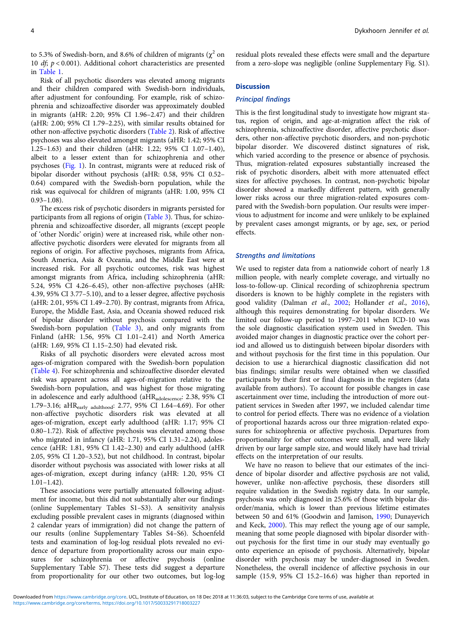to 5.3% of Swedish-born, and 8.6% of children of migrants ( $\chi^2$  on 10  $df$ ;  $p < 0.001$ ). Additional cohort characteristics are presented in [Table 1](#page-2-0).

Risk of all psychotic disorders was elevated among migrants and their children compared with Swedish-born individuals, after adjustment for confounding. For example, risk of schizophrenia and schizoaffective disorder was approximately doubled in migrants (aHR: 2.20; 95% CI 1.96–2.47) and their children (aHR: 2.00; 95% CI 1.79–2.25), with similar results obtained for other non-affective psychotic disorders [\(Table 2](#page-4-0)). Risk of affective psychoses was also elevated amongst migrants (aHR: 1.42; 95% CI 1.25–1.63) and their children (aHR: 1.22; 95% CI 1.07–1.40), albeit to a lesser extent than for schizophrenia and other psychoses ([Fig. 1\)](#page-4-0). In contrast, migrants were at reduced risk of bipolar disorder without psychosis (aHR: 0.58, 95% CI 0.52– 0.64) compared with the Swedish-born population, while the risk was equivocal for children of migrants (aHR: 1.00, 95% CI 0.93–1.08).

The excess risk of psychotic disorders in migrants persisted for participants from all regions of origin ([Table 3\)](#page-5-0). Thus, for schizophrenia and schizoaffective disorder, all migrants (except people of 'other Nordic' origin) were at increased risk, while other nonaffective psychotic disorders were elevated for migrants from all regions of origin. For affective psychoses, migrants from Africa, South America, Asia & Oceania, and the Middle East were at increased risk. For all psychotic outcomes, risk was highest amongst migrants from Africa, including schizophrenia (aHR: 5.24, 95% CI 4.26–6.45), other non-affective psychoses (aHR: 4.39, 95% CI 3.77–5.10), and to a lesser degree, affective psychosis (aHR: 2.01, 95% CI 1.49–2.70). By contrast, migrants from Africa, Europe, the Middle East, Asia, and Oceania showed reduced risk of bipolar disorder without psychosis compared with the Swedish-born population [\(Table 3\)](#page-5-0), and only migrants from Finland (aHR: 1.56, 95% CI 1.01–2.41) and North America (aHR: 1.69, 95% CI 1.15–2.50) had elevated risk.

Risks of all psychotic disorders were elevated across most ages-of-migration compared with the Swedish-born population ([Table 4](#page-6-0)). For schizophrenia and schizoaffective disorder elevated risk was apparent across all ages-of-migration relative to the Swedish-born population, and was highest for those migrating in adolescence and early adulthood (aHRadolescence: 2.38, 95% CI 1.79–3.16; aHRearly adulthood: 2.77, 95% CI 1.64–4.69). For other non-affective psychotic disorders risk was elevated at all ages-of-migration, except early adulthood (aHR: 1.17; 95% CI 0.80–1.72). Risk of affective psychosis was elevated among those who migrated in infancy (aHR: 1.71, 95% CI 1.31–2.24), adolescence (aHR: 1.81, 95% CI 1.42–2.30) and early adulthood (aHR 2.05, 95% CI 1.20–3.52), but not childhood. In contrast, bipolar disorder without psychosis was associated with lower risks at all ages-of-migration, except during infancy (aHR: 1.20, 95% CI 1.01–1.42).

These associations were partially attenuated following adjustment for income, but this did not substantially alter our findings (online Supplementary Tables S1–S3). A sensitivity analysis excluding possible prevalent cases in migrants (diagnosed within 2 calendar years of immigration) did not change the pattern of our results (online Supplementary Tables S4–S6). Schoenfeld tests and examination of log-log residual plots revealed no evidence of departure from proportionality across our main exposures for schizophrenia or affective psychosis (online Supplementary Table S7). These tests did suggest a departure from proportionality for our other two outcomes, but log-log

residual plots revealed these effects were small and the departure from a zero-slope was negligible (online Supplementary Fig. S1).

## **Discussion**

## Principal findings

This is the first longitudinal study to investigate how migrant status, region of origin, and age-at-migration affect the risk of schizophrenia, schizoaffective disorder, affective psychotic disorders, other non-affective psychotic disorders, and non-psychotic bipolar disorder. We discovered distinct signatures of risk, which varied according to the presence or absence of psychosis. Thus, migration-related exposures substantially increased the risk of psychotic disorders, albeit with more attenuated effect sizes for affective psychoses. In contrast, non-psychotic bipolar disorder showed a markedly different pattern, with generally lower risks across our three migration-related exposures compared with the Swedish-born population. Our results were impervious to adjustment for income and were unlikely to be explained by prevalent cases amongst migrants, or by age, sex, or period effects.

#### Strengths and limitations

We used to register data from a nationwide cohort of nearly 1.8 million people, with nearly complete coverage, and virtually no loss-to-follow-up. Clinical recording of schizophrenia spectrum disorders is known to be highly complete in the registers with good validity (Dalman et al., [2002](#page-8-0); Hollander et al., [2016](#page-8-0)), although this requires demonstrating for bipolar disorders. We limited our follow-up period to 1997–2011 when ICD-10 was the sole diagnostic classification system used in Sweden. This avoided major changes in diagnostic practice over the cohort period and allowed us to distinguish between bipolar disorders with and without psychosis for the first time in this population. Our decision to use a hierarchical diagnostic classification did not bias findings; similar results were obtained when we classified participants by their first or final diagnosis in the registers (data available from authors). To account for possible changes in case ascertainment over time, including the introduction of more outpatient services in Sweden after 1997, we included calendar time to control for period effects. There was no evidence of a violation of proportional hazards across our three migration-related exposures for schizophrenia or affective psychosis. Departures from proportionality for other outcomes were small, and were likely driven by our large sample size, and would likely have had trivial effects on the interpretation of our results.

We have no reason to believe that our estimates of the incidence of bipolar disorder and affective psychosis are not valid, however, unlike non-affective psychosis, these disorders still require validation in the Swedish registry data. In our sample, psychosis was only diagnosed in 25.6% of those with bipolar disorder/mania, which is lower than previous lifetime estimates between 50 and 61% (Goodwin and Jamison, [1990](#page-8-0); Dunayevich and Keck, [2000\)](#page-8-0). This may reflect the young age of our sample, meaning that some people diagnosed with bipolar disorder without psychosis for the first time in our study may eventually go onto experience an episode of psychosis. Alternatively, bipolar disorder with psychosis may be under-diagnosed in Sweden. Nonetheless, the overall incidence of affective psychosis in our sample (15.9, 95% CI 15.2–16.6) was higher than reported in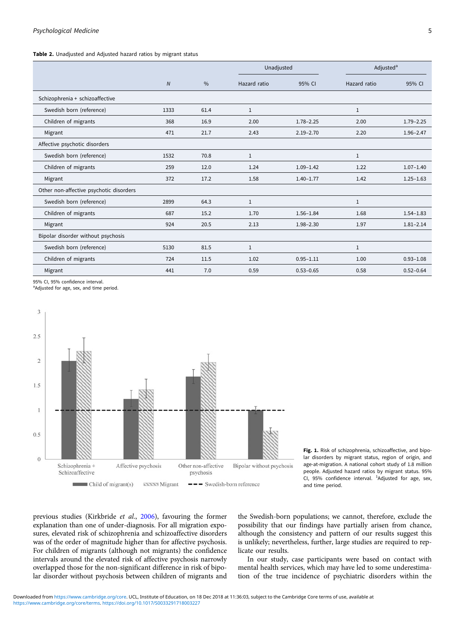<span id="page-4-0"></span>Table 2. Unadiusted and Adiusted hazard ratios by migrant status

|                                         |                |               |              | Unadjusted    |              | Adjusted <sup>a</sup> |
|-----------------------------------------|----------------|---------------|--------------|---------------|--------------|-----------------------|
|                                         | $\overline{N}$ | $\frac{0}{0}$ | Hazard ratio | 95% CI        | Hazard ratio | 95% CI                |
| Schizophrenia + schizoaffective         |                |               |              |               |              |                       |
| Swedish born (reference)                | 1333           | 61.4          | $\mathbf{1}$ |               | $\mathbf{1}$ |                       |
| Children of migrants                    | 368            | 16.9          | 2.00         | $1.78 - 2.25$ | 2.00         | $1.79 - 2.25$         |
| Migrant                                 | 471            | 21.7          | 2.43         | $2.19 - 2.70$ | 2.20         | $1.96 - 2.47$         |
| Affective psychotic disorders           |                |               |              |               |              |                       |
| Swedish born (reference)                | 1532           | 70.8          | $\mathbf{1}$ |               | $\mathbf{1}$ |                       |
| Children of migrants                    | 259            | 12.0          | 1.24         | $1.09 - 1.42$ | 1.22         | $1.07 - 1.40$         |
| Migrant                                 | 372            | 17.2          | 1.58         | $1.40 - 1.77$ | 1.42         | $1.25 - 1.63$         |
| Other non-affective psychotic disorders |                |               |              |               |              |                       |
| Swedish born (reference)                | 2899           | 64.3          | $\mathbf{1}$ |               | $\mathbf{1}$ |                       |
| Children of migrants                    | 687            | 15.2          | 1.70         | $1.56 - 1.84$ | 1.68         | $1.54 - 1.83$         |
| Migrant                                 | 924            | 20.5          | 2.13         | 1.98-2.30     | 1.97         | $1.81 - 2.14$         |
| Bipolar disorder without psychosis      |                |               |              |               |              |                       |
| Swedish born (reference)                | 5130           | 81.5          | $\mathbf{1}$ |               | $\mathbf{1}$ |                       |
| Children of migrants                    | 724            | 11.5          | 1.02         | $0.95 - 1.11$ | 1.00         | $0.93 - 1.08$         |
| Migrant                                 | 441            | 7.0           | 0.59         | $0.53 - 0.65$ | 0.58         | $0.52 - 0.64$         |

95% CI, 95% confidence interval.

<sup>a</sup>Adjusted for age, sex, and time period.



Fig. 1. Risk of schizophrenia, schizoaffective, and bipolar disorders by migrant status, region of origin, and age-at-migration. A national cohort study of 1.8 million people. Adjusted hazard ratios by migrant status. 95% CI, 95% confidence interval.  $^{1}$ Adjusted for age, sex, and time period.

previous studies (Kirkbride et al., [2006\)](#page-8-0), favouring the former explanation than one of under-diagnosis. For all migration exposures, elevated risk of schizophrenia and schizoaffective disorders was of the order of magnitude higher than for affective psychosis. For children of migrants (although not migrants) the confidence intervals around the elevated risk of affective psychosis narrowly overlapped those for the non-significant difference in risk of bipolar disorder without psychosis between children of migrants and

the Swedish-born populations; we cannot, therefore, exclude the possibility that our findings have partially arisen from chance, although the consistency and pattern of our results suggest this is unlikely; nevertheless, further, large studies are required to replicate our results.

In our study, case participants were based on contact with mental health services, which may have led to some underestimation of the true incidence of psychiatric disorders within the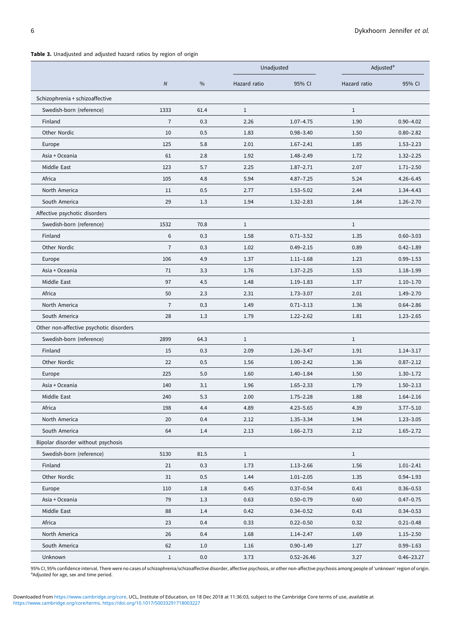<span id="page-5-0"></span>

|                                         |                |               |              | Unadjusted     |              | Adjusted <sup>a</sup> |  |
|-----------------------------------------|----------------|---------------|--------------|----------------|--------------|-----------------------|--|
|                                         | $\overline{N}$ | $\frac{0}{0}$ | Hazard ratio | 95% CI         | Hazard ratio | 95% CI                |  |
| Schizophrenia + schizoaffective         |                |               |              |                |              |                       |  |
| Swedish-born (reference)                | 1333           | 61.4          | $\mathbf{1}$ |                | $\mathbf{1}$ |                       |  |
| Finland                                 | $\overline{7}$ | 0.3           | 2.26         | $1.07 - 4.75$  | 1.90         | $0.90 - 4.02$         |  |
| Other Nordic                            | 10             | 0.5           | 1.83         | $0.98 - 3.40$  | 1.50         | $0.80 - 2.82$         |  |
| Europe                                  | 125            | 5.8           | 2.01         | $1.67 - 2.41$  | 1.85         | $1.53 - 2.23$         |  |
| Asia + Oceania                          | 61             | 2.8           | 1.92         | $1.48 - 2.49$  | 1.72         | $1.32 - 2.25$         |  |
| Middle East                             | 123            | 5.7           | 2.25         | $1.87 - 2.71$  | 2.07         | $1.71 - 2.50$         |  |
| Africa                                  | 105            | 4.8           | 5.94         | $4.87 - 7.25$  | 5.24         | $4.26 - 6.45$         |  |
| North America                           | 11             | 0.5           | 2.77         | $1.53 - 5.02$  | 2.44         | $1.34 - 4.43$         |  |
| South America                           | 29             | 1.3           | 1.94         | $1.32 - 2.83$  | 1.84         | $1.26 - 2.70$         |  |
| Affective psychotic disorders           |                |               |              |                |              |                       |  |
| Swedish-born (reference)                | 1532           | 70.8          | $\mathbf{1}$ |                | $\mathbf{1}$ |                       |  |
| Finland                                 | 6              | 0.3           | 1.58         | $0.71 - 3.52$  | 1.35         | $0.60 - 3.03$         |  |
| Other Nordic                            | $\overline{7}$ | 0.3           | 1.02         | $0.49 - 2.15$  | 0.89         | $0.42 - 1.89$         |  |
| Europe                                  | 106            | 4.9           | 1.37         | $1.11 - 1.68$  | 1.23         | $0.99 - 1.53$         |  |
| Asia + Oceania                          | 71             | 3.3           | 1.76         | $1.37 - 2.25$  | 1.53         | $1.18 - 1.99$         |  |
| Middle East                             | 97             | 4.5           | 1.48         | $1.19 - 1.83$  | 1.37         | $1.10 - 1.70$         |  |
| Africa                                  | 50             | 2.3           | 2.31         | $1.73 - 3.07$  | 2.01         | $1.49 - 2.70$         |  |
| North America                           | $\overline{7}$ | 0.3           | 1.49         | $0.71 - 3.13$  | 1.36         | $0.64 - 2.86$         |  |
| South America                           | 28             | 1.3           | 1.79         | $1.22 - 2.62$  | 1.81         | $1.23 - 2.65$         |  |
| Other non-affective psychotic disorders |                |               |              |                |              |                       |  |
| Swedish-born (reference)                | 2899           | 64.3          | $\mathbf{1}$ |                | $\mathbf{1}$ |                       |  |
| Finland                                 | 15             | 0.3           | 2.09         | $1.26 - 3.47$  | 1.91         | $1.14 - 3.17$         |  |
| Other Nordic                            | 22             | 0.5           | 1.56         | $1.00 - 2.42$  | 1.36         | $0.87 - 2.12$         |  |
| Europe                                  | 225            | 5.0           | 1.60         | $1.40 - 1.84$  | 1.50         | $1.30 - 1.72$         |  |
| Asia + Oceania                          | 140            | 3.1           | 1.96         | $1.65 - 2.33$  | 1.79         | $1.50 - 2.13$         |  |
| Middle East                             | 240            | 5.3           | 2.00         | $1.75 - 2.28$  | 1.88         | $1.64 - 2.16$         |  |
| Africa                                  | 198            | 4.4           | 4.89         | $4.23 - 5.65$  | 4.39         | $3.77 - 5.10$         |  |
| North America                           | 20             | 0.4           | 2.12         | 1.35-3.34      | 1.94         | $1.23 - 3.05$         |  |
| South America                           | 64             | 1.4           | 2.13         | $1.66 - 2.73$  | 2.12         | $1.65 - 2.72$         |  |
| Bipolar disorder without psychosis      |                |               |              |                |              |                       |  |
| Swedish-born (reference)                | 5130           | 81.5          | $\mathbf{1}$ |                | $\mathbf{1}$ |                       |  |
| Finland                                 | 21             | 0.3           | 1.73         | $1.13 - 2.66$  | 1.56         | $1.01 - 2.41$         |  |
| Other Nordic                            | 31             | 0.5           | 1.44         | $1.01 - 2.05$  | 1.35         | $0.94 - 1.93$         |  |
| Europe                                  | 110            | 1.8           | 0.45         | $0.37 - 0.54$  | 0.43         | $0.36 - 0.53$         |  |
| Asia + Oceania                          | 79             | 1.3           | 0.63         | $0.50 - 0.79$  | 0.60         | $0.47 - 0.75$         |  |
| Middle East                             | 88             | 1.4           | 0.42         | $0.34 - 0.52$  | 0.43         | $0.34 - 0.53$         |  |
| Africa                                  | 23             | 0.4           | 0.33         | $0.22 - 0.50$  | 0.32         | $0.21 - 0.48$         |  |
| North America                           | 26             | 0.4           | 1.68         | $1.14 - 2.47$  | 1.69         | $1.15 - 2.50$         |  |
| South America                           | 62             | 1.0           | 1.16         | $0.90 - 1.49$  | 1.27         | $0.99 - 1.63$         |  |
| Unknown                                 | $\mathbf{1}$   | $0.0\,$       | 3.73         | $0.52 - 26.46$ | 3.27         | $0.46 - 23.27$        |  |

95% CI, 95% confidence interval. There were no cases of schizophrenia/schizoaffective disorder, affective psychosis, or other non-affective psychosis among people of 'unknown' region of origin.<br>ªAdjusted for age, sex and t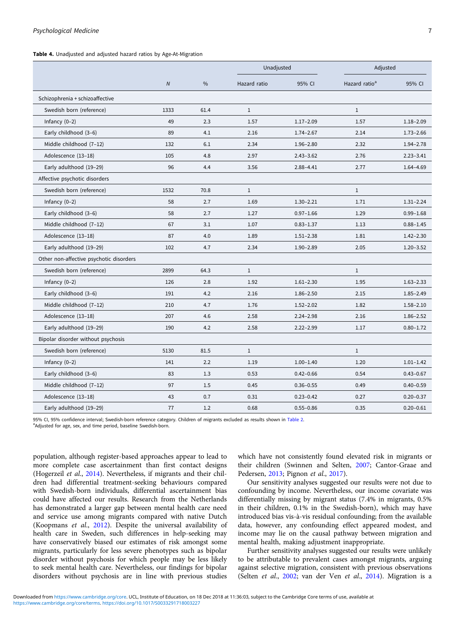<span id="page-6-0"></span>Table 4. Unadjusted and adjusted hazard ratios by Age-At-Migration

|                                         |                |               | Unadjusted   |               | Adjusted                  |               |
|-----------------------------------------|----------------|---------------|--------------|---------------|---------------------------|---------------|
|                                         | $\overline{N}$ | $\frac{0}{0}$ | Hazard ratio | 95% CI        | Hazard ratio <sup>a</sup> | 95% CI        |
| Schizophrenia + schizoaffective         |                |               |              |               |                           |               |
| Swedish born (reference)                | 1333           | 61.4          | $\mathbf{1}$ |               | $\mathbf{1}$              |               |
| Infancy $(0-2)$                         | 49             | 2.3           | 1.57         | $1.17 - 2.09$ | 1.57                      | $1.18 - 2.09$ |
| Early childhood (3-6)                   | 89             | 4.1           | 2.16         | $1.74 - 2.67$ | 2.14                      | $1.73 - 2.66$ |
| Middle childhood (7-12)                 | 132            | 6.1           | 2.34         | $1.96 - 2.80$ | 2.32                      | $1.94 - 2.78$ |
| Adolescence (13-18)                     | 105            | 4.8           | 2.97         | $2.43 - 3.62$ | 2.76                      | $2.23 - 3.41$ |
| Early adulthood (19-29)                 | 96             | 4.4           | 3.56         | $2.88 - 4.41$ | 2.77                      | $1.64 - 4.69$ |
| Affective psychotic disorders           |                |               |              |               |                           |               |
| Swedish born (reference)                | 1532           | 70.8          | $\mathbf{1}$ |               | $\mathbf{1}$              |               |
| Infancy $(0-2)$                         | 58             | 2.7           | 1.69         | $1.30 - 2.21$ | 1.71                      | $1.31 - 2.24$ |
| Early childhood (3-6)                   | 58             | 2.7           | 1.27         | $0.97 - 1.66$ | 1.29                      | $0.99 - 1.68$ |
| Middle childhood (7-12)                 | 67             | 3.1           | 1.07         | $0.83 - 1.37$ | 1.13                      | $0.88 - 1.45$ |
| Adolescence (13-18)                     | 87             | 4.0           | 1.89         | $1.51 - 2.38$ | 1.81                      | $1.42 - 2.30$ |
| Early adulthood (19-29)                 | 102            | 4.7           | 2.34         | $1.90 - 2.89$ | 2.05                      | $1.20 - 3.52$ |
| Other non-affective psychotic disorders |                |               |              |               |                           |               |
| Swedish born (reference)                | 2899           | 64.3          | $\mathbf{1}$ |               | $\mathbf{1}$              |               |
| Infancy $(0-2)$                         | 126            | 2.8           | 1.92         | $1.61 - 2.30$ | 1.95                      | $1.63 - 2.33$ |
| Early childhood (3-6)                   | 191            | 4.2           | 2.16         | $1.86 - 2.50$ | 2.15                      | $1.85 - 2.49$ |
| Middle childhood (7-12)                 | 210            | 4.7           | 1.76         | $1.52 - 2.02$ | 1.82                      | $1.58 - 2.10$ |
| Adolescence (13-18)                     | 207            | 4.6           | 2.58         | $2.24 - 2.98$ | 2.16                      | $1.86 - 2.52$ |
| Early adulthood (19-29)                 | 190            | 4.2           | 2.58         | $2.22 - 2.99$ | 1.17                      | $0.80 - 1.72$ |
| Bipolar disorder without psychosis      |                |               |              |               |                           |               |
| Swedish born (reference)                | 5130           | 81.5          | $\mathbf{1}$ |               | $\mathbf{1}$              |               |
| Infancy $(0-2)$                         | 141            | 2.2           | 1.19         | $1.00 - 1.40$ | 1.20                      | $1.01 - 1.42$ |
| Early childhood (3-6)                   | 83             | 1.3           | 0.53         | $0.42 - 0.66$ | 0.54                      | $0.43 - 0.67$ |
| Middle childhood (7-12)                 | 97             | 1.5           | 0.45         | $0.36 - 0.55$ | 0.49                      | $0.40 - 0.59$ |
| Adolescence (13-18)                     | 43             | 0.7           | 0.31         | $0.23 - 0.42$ | 0.27                      | $0.20 - 0.37$ |
| Early adulthood (19-29)                 | 77             | 1.2           | 0.68         | $0.55 - 0.86$ | 0.35                      | $0.20 - 0.61$ |

95% CI, 95% confidence interval; Swedish-born reference category. Children of migrants excluded as results shown in [Table 2](#page-4-0).

<sup>a</sup>Adjusted for age, sex, and time period, baseline Swedish-born.

population, although register-based approaches appear to lead to more complete case ascertainment than first contact designs (Hogerzeil et al., [2014\)](#page-8-0). Nevertheless, if migrants and their children had differential treatment-seeking behaviours compared with Swedish-born individuals, differential ascertainment bias could have affected our results. Research from the Netherlands has demonstrated a larger gap between mental health care need and service use among migrants compared with native Dutch (Koopmans et al., [2012](#page-9-0)). Despite the universal availability of health care in Sweden, such differences in help-seeking may have conservatively biased our estimates of risk amongst some migrants, particularly for less severe phenotypes such as bipolar disorder without psychosis for which people may be less likely to seek mental health care. Nevertheless, our findings for bipolar disorders without psychosis are in line with previous studies

which have not consistently found elevated risk in migrants or their children (Swinnen and Selten, [2007;](#page-9-0) Cantor-Graae and Pedersen, [2013;](#page-8-0) Pignon et al., [2017\)](#page-9-0).

Our sensitivity analyses suggested our results were not due to confounding by income. Nevertheless, our income covariate was differentially missing by migrant status (7.4% in migrants, 0.5% in their children, 0.1% in the Swedish-born), which may have introduced bias vis-à-vis residual confounding; from the available data, however, any confounding effect appeared modest, and income may lie on the causal pathway between migration and mental health, making adjustment inappropriate.

Further sensitivity analyses suggested our results were unlikely to be attributable to prevalent cases amongst migrants, arguing against selective migration, consistent with previous observations (Selten et al., [2002;](#page-9-0) van der Ven et al., [2014\)](#page-9-0). Migration is a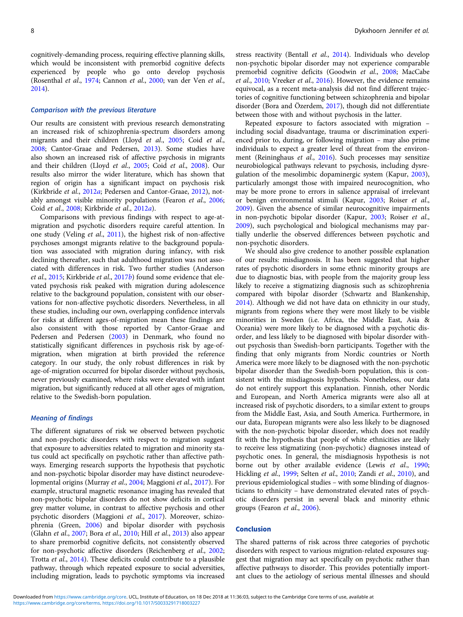cognitively-demanding process, requiring effective planning skills, which would be inconsistent with premorbid cognitive defects experienced by people who go onto develop psychosis (Rosenthal et al., [1974](#page-9-0); Cannon et al., [2000;](#page-8-0) van der Ven et al., [2014\)](#page-9-0).

## Comparison with the previous literature

Our results are consistent with previous research demonstrating an increased risk of schizophrenia-spectrum disorders among migrants and their children (Lloyd et al., [2005;](#page-9-0) Coid et al., [2008;](#page-8-0) Cantor-Graae and Pedersen, [2013](#page-8-0)). Some studies have also shown an increased risk of affective psychosis in migrants and their children (Lloyd et al., [2005;](#page-9-0) Coid et al., [2008\)](#page-8-0). Our results also mirror the wider literature, which has shown that region of origin has a significant impact on psychosis risk (Kirkbride et al., [2012](#page-8-0)a; Pedersen and Cantor-Graae, [2012\)](#page-9-0), notably amongst visible minority populations (Fearon et al., [2006](#page-8-0); Coid et al., [2008](#page-8-0); Kirkbride et al., [2012](#page-8-0)a).

Comparisons with previous findings with respect to age-atmigration and psychotic disorders require careful attention. In one study (Veling et al., [2011](#page-9-0)), the highest risk of non-affective psychoses amongst migrants relative to the background population was associated with migration during infancy, with risk declining thereafter, such that adulthood migration was not associated with differences in risk. Two further studies (Anderson et al., [2015;](#page-8-0) Kirkbride et al., [2017](#page-8-0)b) found some evidence that elevated psychosis risk peaked with migration during adolescence relative to the background population, consistent with our observations for non-affective psychotic disorders. Nevertheless, in all these studies, including our own, overlapping confidence intervals for risks at different ages-of-migration mean these findings are also consistent with those reported by Cantor-Graae and Pedersen and Pedersen [\(2003\)](#page-8-0) in Denmark, who found no statistically significant differences in psychosis risk by age-ofmigration, when migration at birth provided the reference category. In our study, the only robust differences in risk by age-of-migration occurred for bipolar disorder without psychosis, never previously examined, where risks were elevated with infant migration, but significantly reduced at all other ages of migration, relative to the Swedish-born population.

### Meaning of findings

The different signatures of risk we observed between psychotic and non-psychotic disorders with respect to migration suggest that exposure to adversities related to migration and minority status could act specifically on psychotic rather than affective pathways. Emerging research supports the hypothesis that psychotic and non-psychotic bipolar disorder may have distinct neurodevelopmental origins (Murray et al., [2004](#page-9-0); Maggioni et al., [2017](#page-9-0)). For example, structural magnetic resonance imaging has revealed that non-psychotic bipolar disorders do not show deficits in cortical grey matter volume, in contrast to affective psychosis and other psychotic disorders (Maggioni et al., [2017\)](#page-9-0). Moreover, schizophrenia (Green, [2006](#page-8-0)) and bipolar disorder with psychosis (Glahn et al., [2007](#page-8-0); Bora et al., [2010;](#page-8-0) Hill et al., [2013](#page-8-0)) also appear to share premorbid cognitive deficits, not consistently observed for non-psychotic affective disorders (Reichenberg et al., [2002](#page-9-0); Trotta et al., [2014](#page-9-0)). These deficits could contribute to a plausible pathway, through which repeated exposure to social adversities, including migration, leads to psychotic symptoms via increased

stress reactivity (Bentall et al., [2014](#page-8-0)). Individuals who develop non-psychotic bipolar disorder may not experience comparable premorbid cognitive deficits (Goodwin et al., [2008](#page-8-0); MacCabe et al., [2010](#page-9-0); Vreeker et al., [2016\)](#page-9-0). However, the evidence remains equivocal, as a recent meta-analysis did not find different trajectories of cognitive functioning between schizophrenia and bipolar disorder (Bora and Özerdem, [2017\)](#page-8-0), though did not differentiate between those with and without psychosis in the latter.

Repeated exposure to factors associated with migration – including social disadvantage, trauma or discrimination experienced prior to, during, or following migration – may also prime individuals to expect a greater level of threat from the environment (Reininghaus et al., [2016\)](#page-9-0). Such processes may sensitize neurobiological pathways relevant to psychosis, including dysregulation of the mesolimbic dopaminergic system (Kapur, [2003](#page-8-0)), particularly amongst those with impaired neurocognition, who may be more prone to errors in salience appraisal of irrelevant or benign environmental stimuli (Kapur, [2003](#page-8-0); Roiser et al., [2009\)](#page-9-0). Given the absence of similar neurocognitive impairments in non-psychotic bipolar disorder (Kapur, [2003;](#page-8-0) Roiser et al., [2009\)](#page-9-0), such psychological and biological mechanisms may partially underlie the observed differences between psychotic and non-psychotic disorders.

We should also give credence to another possible explanation of our results: misdiagnosis. It has been suggested that higher rates of psychotic disorders in some ethnic minority groups are due to diagnostic bias, with people from the majority group less likely to receive a stigmatizing diagnosis such as schizophrenia compared with bipolar disorder (Schwartz and Blankenship, [2014\)](#page-9-0). Although we did not have data on ethnicity in our study, migrants from regions where they were most likely to be visible minorities in Sweden (i.e. Africa, the Middle East, Asia & Oceania) were more likely to be diagnosed with a psychotic disorder, and less likely to be diagnosed with bipolar disorder without psychosis than Swedish-born participants. Together with the finding that only migrants from Nordic countries or North America were more likely to be diagnosed with the non-psychotic bipolar disorder than the Swedish-born population, this is consistent with the misdiagnosis hypothesis. Nonetheless, our data do not entirely support this explanation. Finnish, other Nordic and European, and North America migrants were also all at increased risk of psychotic disorders, to a similar extent to groups from the Middle East, Asia, and South America. Furthermore, in our data, European migrants were also less likely to be diagnosed with the non-psychotic bipolar disorder, which does not readily fit with the hypothesis that people of white ethnicities are likely to receive less stigmatizing (non-psychotic) diagnoses instead of psychotic ones. In general, the misdiagnosis hypothesis is not borne out by other available evidence (Lewis et al., [1990;](#page-9-0) Hickling et al., [1999;](#page-8-0) Selten et al., [2010](#page-9-0); Zandi et al., [2010\)](#page-9-0), and previous epidemiological studies – with some blinding of diagnosticians to ethnicity – have demonstrated elevated rates of psychotic disorders persist in several black and minority ethnic groups (Fearon et al., [2006](#page-8-0)).

#### Conclusion

The shared patterns of risk across three categories of psychotic disorders with respect to various migration-related exposures suggest that migration may act specifically on psychotic rather than affective pathways to disorder. This provides potentially important clues to the aetiology of serious mental illnesses and should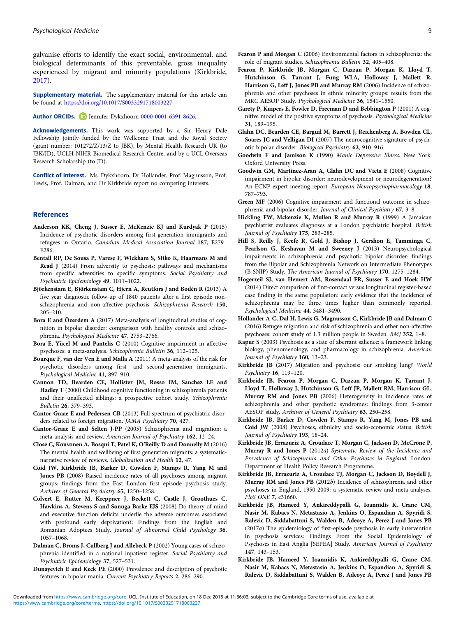<span id="page-8-0"></span>galvanise efforts to identify the exact social, environmental, and biological determinants of this preventable, gross inequality experienced by migrant and minority populations (Kirkbride, 2017).

**Supplementary material.** The supplementary material for this article can be found at <https://doi.org/10.1017/S0033291718003227>

Author ORCIDs. D Jennifer Dykxhoorn [0000-0001-6391-8626.](http://orcid.org/0000-0001-6391-8626)

Acknowledgements. This work was supported by a Sir Henry Dale Fellowship jointly funded by the Wellcome Trust and the Royal Society (grant number: 101272/Z/13/Z to JBK), by Mental Health Research UK (to JBK/JD), UCLH NIHR Biomedical Research Centre, and by a UCL Overseas Research Scholarship (to JD).

Conflict of interest. Ms. Dykxhoorn, Dr Hollander, Prof. Magnusson, Prof. Lewis, Prof. Dalman, and Dr Kirkbride report no competing interests.

#### References

- Anderson KK, Cheng J, Susser E, McKenzie KJ and Kurdyak P (2015) Incidence of psychotic disorders among first-generation immigrants and refugees in Ontario. Canadian Medical Association Journal 187, E279– E286.
- Bentall RP, De Sousa P, Varese F, Wickham S, Sitko K, Haarmans M and Read J (2014) From adversity to psychosis: pathways and mechanisms from specific adversities to specific symptoms. Social Psychiatry and Psychiatric Epidemiology 49, 1011–1022.
- Björkenstam E, Björkenstam C, Hjern A, Reutfors J and Bodén R (2013) A five year diagnostic follow-up of 1840 patients after a first episode nonschizophrenia and non-affective psychosis. Schizophrenia Research 150, 205–210.
- Bora E and Özerdem A (2017) Meta-analysis of longitudinal studies of cognition in bipolar disorder: comparison with healthy controls and schizophrenia. Psychological Medicine 47, 2753–2766.
- Bora E, Yücel M and Pantelis C (2010) Cognitive impairment in affective psychoses: a meta-analysis. Schizophrenia Bulletin 36, 112–125.
- Bourque F, van der Ven E and Malla A (2011) A meta-analysis of the risk for psychotic disorders among first- and second-generation immigrants. Psychological Medicine 41, 897–910.
- Cannon TD, Bearden CE, Hollister JM, Rosso IM, Sanchez LE and Hadley T (2000) Childhood cognitive functioning in schizophrenia patients and their unaffected siblings: a prospective cohort study. Schizophrenia Bulletin 26, 379–393.
- Cantor-Graae E and Pedersen CB (2013) Full spectrum of psychiatric disorders related to foreign migration. JAMA Psychiatry 70, 427.
- Cantor-Graae E and Selten J-PP (2005) Schizophrenia and migration: a meta-analysis and review. American Journal of Psychiatry 162, 12–24.
- Close C, Kouvonen A, Bosqui T, Patel K, O'Reilly D and Donnelly M (2016) The mental health and wellbeing of first generation migrants: a systematicnarrative review of reviews. Globalization and Health 12, 47.
- Coid JW, Kirkbride JB, Barker D, Cowden F, Stamps R, Yang M and Jones PB (2008) Raised incidence rates of all psychoses among migrant groups: findings from the East London first episode psychosis study. Archives of General Psychiatry 65, 1250–1258.
- Colvert E, Rutter M, Kreppner J, Beckett C, Castle J, Groothues C, Hawkins A, Stevens S and Sonuga-Barke EJS (2008) Do theory of mind and executive function deficits underlie the adverse outcomes associated with profound early deprivation?: Findings from the English and Romanian Adoptees Study. Journal of Abnormal Child Psychology 36, 1057–1068.
- Dalman C, Broms J, Cullberg J and Allebeck P (2002) Young cases of schizophrenia identified in a national inpatient register. Social Psychiatry and Psychiatric Epidemiology 37, 527–531.
- Dunayevich E and Keck PE (2000) Prevalence and description of psychotic features in bipolar mania. Current Psychiatry Reports 2, 286–290.
- Fearon P, Kirkbride JB, Morgan C, Dazzan P, Morgan K, Lloyd T, Hutchinson G, Tarrant J, Fung WLA, Holloway J, Mallett R, Harrison G, Leff J, Jones PB and Murray RM (2006) Incidence of schizophrenia and other psychoses in ethnic minority groups: results from the MRC AESOP Study. Psychological Medicine 36, 1541–1550.
- Garety P, Kuipers E, Fowler D, Freeman D and Bebbington P (2001) A cognitive model of the positive symptoms of psychosis. Psychological Medicine 31, 189–195.
- Glahn DC, Bearden CE, Barguil M, Barrett J, Reichenberg A, Bowden CL, Soares JC and Velligan DI (2007) The neurocognitive signature of psychotic bipolar disorder. Biological Psychiatry 62, 910–916.
- Goodwin F and Jamison K (1990) Manic Depressive Illness. New York: Oxford University Press.
- Goodwin GM, Martinez-Aran A, Glahn DC and Vieta E (2008) Cognitive impairment in bipolar disorder: neurodevelopment or neurodegeneration? An ECNP expert meeting report. European Neuropsychopharmacology 18, 787–793.
- Green MF (2006) Cognitive impairment and functional outcome in schizophrenia and bipolar disorder. Journal of Clinical Psychiatry 67, 3–8.
- Hickling FW, Mckenzie K, Mullen R and Murray R (1999) A Jamaican psychiatrist evaluates diagnoses at a London psychiatric hospital. British Journal of Psychiatry 175, 283–285.
- Hill S, Reilly J, Keefe R, Gold J, Bishop J, Gershon E, Tamminga C, Pearlson G, Keshavan M and Sweeney J (2013) Neuropsychological impairments in schizophrenia and psychotic bipolar disorder: findings from the Bipolar and Schizophrenia Network on Intermediate Phenotypes (B-SNIP) Study. The American Journal of Psychiatry 170, 1275–1284.
- Hogerzeil SJ, van Hemert AM, Rosendaal FR, Susser E and Hoek HW (2014) Direct comparison of first-contact versus longitudinal register-based case finding in the same population: early evidence that the incidence of schizophrenia may be three times higher than commonly reported. Psychological Medicine 44, 3481–3490.
- Hollander A-C, Dal H, Lewis G, Magnusson C, Kirkbride JB and Dalman C (2016) Refugee migration and risk of schizophrenia and other non-affective psychoses: cohort study of 1.3 million people in Sweden. BMJ 352, 1–8.
- Kapur S (2003) Psychosis as a state of aberrant salience: a framework linking biology, phenomenology, and pharmacology in schizophrenia. American Journal of Psychiatry 160, 13-23.
- Kirkbride JB (2017) Migration and psychosis: our smoking lung? World Psychiatry 16, 119–120.
- Kirkbride JB, Fearon P, Morgan C, Dazzan P, Morgan K, Tarrant J, Lloyd T, Holloway J, Hutchinson G, Leff JP, Mallett RM, Harrison GL, Murray RM and Jones PB (2006) Heterogeneity in incidence rates of schizophrenia and other psychotic syndromes: findings from 3-center AESOP study. Archives of General Psychiatry 63, 250–258.
- Kirkbride JB, Barker D, Cowden F, Stamps R, Yang M, Jones PB and Coid JW (2008) Psychoses, ethnicity and socio-economic status. British Journal of Psychiatry 193, 18–24.
- Kirkbride JB, Errazuriz A, Croudace T, Morgan C, Jackson D, McCrone P, Murray R and Jones P (2012a) Systematic Review of the Incidence and Prevalence of Schizophrenia and Other Psychoses in England. London: Department of Health Policy Research Programme.
- Kirkbride JB, Errazuriz A, Croudace TJ, Morgan C, Jackson D, Boydell J, Murray RM and Jones PB (2012b) Incidence of schizophrenia and other psychoses in England, 1950-2009: a systematic review and meta-analyses. PloS ONE 7, e31660.
- Kirkbride JB, Hameed Y, Ankireddypalli G, Ioannidis K, Crane CM, Nasir M, Kabacs N, Metastasio A, Jenkins O, Espandian A, Spyridi S, Ralevic D, Siddabattuni S, Walden B, Adeoye A, Perez J and Jones PB (2017a) The epidemiology of first-episode psychosis in early intervention in psychosis services: Findings From the Social Epidemiology of Psychoses in East Anglia [SEPEA] Study. American Journal of Psychiatry 147, 143–153.
- Kirkbride JB, Hameed Y, Ioannidis K, Ankireddypalli G, Crane CM, Nasir M, Kabacs N, Metastasio A, Jenkins O, Espandian A, Spyridi S, Ralevic D, Siddabattuni S, Walden B, Adeoye A, Perez J and Jones PB